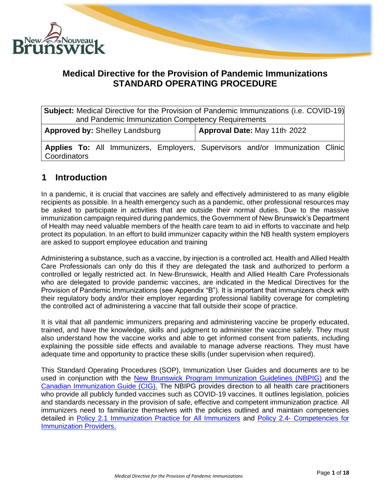

# **Medical Directive for the Provision of Pandemic Immunizations STANDARD OPERATING PROCEDURE**

| <b>Subject:</b> Medical Directive for the Provision of Pandemic Immunizations (i.e. COVID-19) |                              |  |  |
|-----------------------------------------------------------------------------------------------|------------------------------|--|--|
| and Pandemic Immunization Competency Requirements                                             |                              |  |  |
| <b>Approved by: Shelley Landsburg</b>                                                         | Approval Date: May 11th 2022 |  |  |
| Applies To: All Immunizers, Employers, Supervisors and/or Immunization Clinic<br>Coordinators |                              |  |  |

# **1 Introduction**

In a pandemic, it is crucial that vaccines are safely and effectively administered to as many eligible recipients as possible. In a health emergency such as a pandemic, other professional resources may be asked to participate in activities that are outside their normal duties. Due to the massive immunization campaign required during pandemics, the Government of New Brunswick's Department of Health may need valuable members of the health care team to aid in efforts to vaccinate and help protect its population. In an effort to build immunizer capacity within the NB health system employers are asked to support employee education and training

Administering a substance, such as a vaccine, by injection is a controlled act. Health and Allied Health Care Professionals can only do this if they are delegated the task and authorized to perform a controlled or legally restricted act. In New-Brunswick, Health and Allied Health Care Professionals who are delegated to provide pandemic vaccines, are indicated in the Medical Directives for the Provision of Pandemic Immunizations (see Appendix "B"). It is important that immunizers check with their regulatory body and/or their employer regarding professional liability coverage for completing the controlled act of administering a vaccine that fall outside their scope of practice.

It is vital that all pandemic immunizers preparing and administering vaccine be properly educated, trained, and have the knowledge, skills and judgment to administer the vaccine safely. They must also understand how the vaccine works and able to get informed consent from patients, including explaining the possible side effects and available to manage adverse reactions. They must have adequate time and opportunity to practice these skills (under supervision when required).

This Standard Operating Procedures (SOP), Immunization User Guides and documents are to be used in conjunction with the [New Brunswick Program Immunization Guidelines \(NBPIG\)](https://www2.gnb.ca/content/gnb/en/departments/ocmoh/for_healthprofessionals/cdc/NBImmunizationGuide.html) and the [Canadian Immunization Guide \(CIG\).](https://www.canada.ca/en/public-health/services/canadian-immunization-guide.html) The NBIPG provides direction to all health care practitioners who provide all publicly funded vaccines such as COVID-19 vaccines. It outlines legislation, policies and standards necessary in the provision of safe, effective and competent immunization practice. All immunizers need to familiarize themselves with the policies outlined and maintain competencies detailed in [Policy 2.1 Immunization Practice for All Immunizers](https://www2.gnb.ca/content/dam/gnb/Departments/h-s/pdf/en/CDC/HealthProfessionals/NBIPG-policy2-1-e.pdf) and Policy 2.4- [Competencies for](https://www2.gnb.ca/content/dam/gnb/Departments/h-s/pdf/en/CDC/HealthProfessionals/NBIPG-policy2-4-e.pdf)  [Immunization Providers.](https://www2.gnb.ca/content/dam/gnb/Departments/h-s/pdf/en/CDC/HealthProfessionals/NBIPG-policy2-4-e.pdf)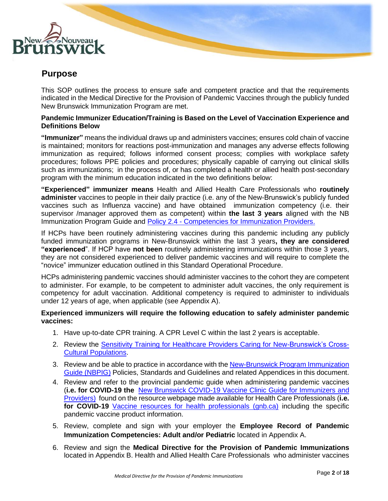

# **Purpose**

This SOP outlines the process to ensure safe and competent practice and that the requirements indicated in the Medical Directive for the Provision of Pandemic Vaccines through the publicly funded New Brunswick Immunization Program are met.

#### **Pandemic Immunizer Education/Training is Based on the Level of Vaccination Experience and Definitions Below**

**"Immunizer"** means the individual draws up and administers vaccines; ensures cold chain of vaccine is maintained; monitors for reactions post-immunization and manages any adverse effects following immunization as required; follows informed consent process; complies with workplace safety procedures; follows PPE policies and procedures; physically capable of carrying out clinical skills such as immunizations; in the process of, or has completed a health or allied health post-secondary program with the minimum education indicated in the two definitions below:

**"Experienced" immunizer means** Health and Allied Health Care Professionals who **routinely administer** vaccines to people in their daily practice (i.e. any of the New-Brunswick's publicly funded vaccines such as Influenza vaccine) and have obtained immunization competency (i.e. their supervisor /manager approved them as competent) within **the last 3 years** aligned with the NB Immunization Program Guide and Policy 2.4 - [Competencies for Immunization Providers.](https://www2.gnb.ca/content/dam/gnb/Departments/h-s/pdf/en/CDC/HealthProfessionals/NBIPG-policy2-4-e.pdf)

If HCPs have been routinely administering vaccines during this pandemic including any publicly funded immunization programs in New-Brunswick within the last 3 years**, they are considered "experienced**". If HCP have **not been** routinely administering immunizations within those 3 years, they are not considered experienced to deliver pandemic vaccines and will require to complete the "novice" immunizer education outlined in this Standard Operational Procedure.

HCPs administering pandemic vaccines should administer vaccines to the cohort they are competent to administer. For example, to be competent to administer adult vaccines, the only requirement is competency for adult vaccination. Additional competency is required to administer to individuals under 12 years of age, when applicable (see Appendix A).

#### **Experienced immunizers will require the following education to safely administer pandemic vaccines:**

- 1. Have up-to-date CPR training. A CPR Level C within the last 2 years is acceptable.
- 2. Review the [Sensitivity Training for Healthcare Providers Caring for New-Brunswick's Cross-](https://www2.gnb.ca/content/dam/gnb/Departments/eco-bce/Promo/covid-19/cultural-competency-sensitivity.pdf)[Cultural Populations.](https://www2.gnb.ca/content/dam/gnb/Departments/eco-bce/Promo/covid-19/cultural-competency-sensitivity.pdf)
- 3. Review and be able to practice in accordance with th[e New-Brunswick Program Immunization](https://www2.gnb.ca/content/gnb/en/departments/ocmoh/for_healthprofessionals/cdc/NBImmunizationGuide.html)  [Guide \(NBPIG\)](https://www2.gnb.ca/content/gnb/en/departments/ocmoh/for_healthprofessionals/cdc/NBImmunizationGuide.html) Policies, Standards and Guidelines and related Appendices in this document.
- 4. Review and refer to the provincial pandemic guide when administering pandemic vaccines (**i.e. for COVID-19 the** [New Brunswick COVID-19 Vaccine Clinic Guide for Immunizers](https://www2.gnb.ca/content/dam/gnb/Departments/eco-bce/Promo/covid-19/Vaccine-Clinic-Guide.pdf) and Providers) found on the resource webpage made available for Health Care Professionals (**i.e. for COVID-19** Vaccine resources for health professionals (gnb.ca) including the specific pandemic vaccine product information.
- 5. Review, complete and sign with your employer the **Employee Record of Pandemic Immunization Competencies: Adult and/or Pediatric** located in Appendix A.
- 6. Review and sign the **Medical Directive for the Provision of Pandemic Immunizations** located in Appendix B. Health and Allied Health Care Professionals who administer vaccines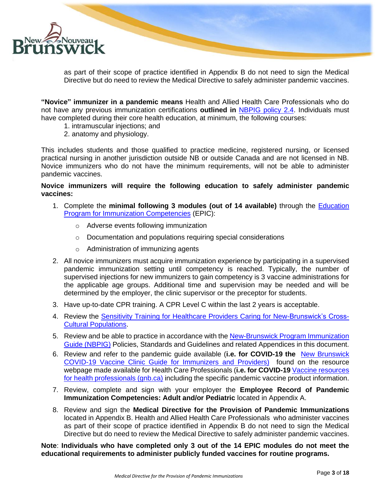

as part of their scope of practice identified in Appendix B do not need to sign the Medical Directive but do need to review the Medical Directive to safely administer pandemic vaccines.

**"Novice" immunizer in a pandemic means** Health and Allied Health Care Professionals who do not have any previous immunization certifications **outlined in** [NBPIG policy 2.4.](https://www2.gnb.ca/content/dam/gnb/Departments/h-s/pdf/en/CDC/HealthProfessionals/NBIPG-policy2-4-e.pdf) Individuals must have completed during their core health education, at minimum, the following courses:

- 1. intramuscular injections; and
- 2. anatomy and physiology.

This includes students and those qualified to practice medicine, registered nursing, or licensed practical nursing in another jurisdiction outside NB or outside Canada and are not licensed in NB. Novice immunizers who do not have the minimum requirements, will not be able to administer pandemic vaccines.

#### **Novice immunizers will require the following education to safely administer pandemic vaccines:**

- 1. Complete the **minimal following 3 modules (out of 14 available)** through the [Education](https://cps.ca/en/epic-pfci)  [Program for Immunization Competencies](https://cps.ca/en/epic-pfci) (EPIC):
	- o Adverse events following immunization
	- o Documentation and populations requiring special considerations
	- o Administration of immunizing agents
- 2. All novice immunizers must acquire immunization experience by participating in a supervised pandemic immunization setting until competency is reached. Typically, the number of supervised injections for new immunizers to gain competency is 3 vaccine administrations for the applicable age groups. Additional time and supervision may be needed and will be determined by the employer, the clinic supervisor or the preceptor for students.
- 3. Have up-to-date CPR training. A CPR Level C within the last 2 years is acceptable.
- 4. Review the [Sensitivity Training for Healthcare Providers Caring for New-Brunswick's Cross-](https://www2.gnb.ca/content/dam/gnb/Departments/eco-bce/Promo/covid-19/cultural-competency-sensitivity.pdf)[Cultural Populations.](https://www2.gnb.ca/content/dam/gnb/Departments/eco-bce/Promo/covid-19/cultural-competency-sensitivity.pdf)
- 5. Review and be able to practice in accordance with the [New-Brunswick Program Immunization](https://www2.gnb.ca/content/gnb/en/departments/ocmoh/for_healthprofessionals/cdc/NBImmunizationGuide.html)  [Guide \(NBPIG\)](https://www2.gnb.ca/content/gnb/en/departments/ocmoh/for_healthprofessionals/cdc/NBImmunizationGuide.html) Policies, Standards and Guidelines and related Appendices in this document.
- 6. Review and refer to the pandemic guide available (**i.e. for COVID-19 the** [New Brunswick](https://www2.gnb.ca/content/dam/gnb/Departments/eco-bce/Promo/covid-19/Vaccine-Clinic-Guide.pdf)  [COVID-19 Vaccine Clinic Guide for Immunizers](https://www2.gnb.ca/content/dam/gnb/Departments/eco-bce/Promo/covid-19/Vaccine-Clinic-Guide.pdf) and Providers) found on the resource webpage made available for Health Care Professionals (**i.e. for COVID-19** Vaccine resources for health professionals (gnb.ca) including the specific pandemic vaccine product information.
- 7. Review, complete and sign with your employer the **Employee Record of Pandemic Immunization Competencies: Adult and/or Pediatric** located in Appendix A.
- 8. Review and sign the **Medical Directive for the Provision of Pandemic Immunizations** located in Appendix B. Health and Allied Health Care Professionals who administer vaccines as part of their scope of practice identified in Appendix B do not need to sign the Medical Directive but do need to review the Medical Directive to safely administer pandemic vaccines.

**Note**: **Individuals who have completed only 3 out of the 14 EPIC modules do not meet the educational requirements to administer publicly funded vaccines for routine programs.**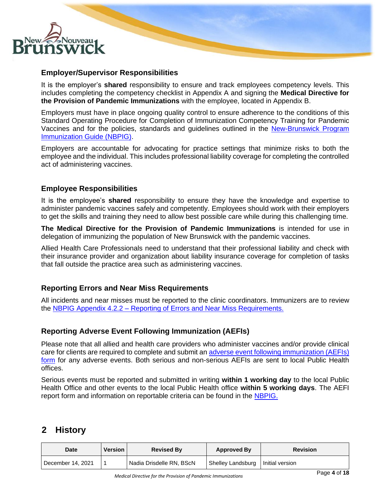

### **Employer/Supervisor Responsibilities**

It is the employer's **shared** responsibility to ensure and track employees competency levels. This includes completing the competency checklist in Appendix A and signing the **Medical Directive for the Provision of Pandemic Immunizations** with the employee, located in Appendix B.

Employers must have in place ongoing quality control to ensure adherence to the conditions of this Standard Operating Procedure for Completion of Immunization Competency Training for Pandemic Vaccines and for the policies, standards and guidelines outlined in the [New-Brunswick Program](https://www2.gnb.ca/content/gnb/en/departments/ocmoh/for_healthprofessionals/cdc/NBImmunizationGuide.html)  [Immunization Guide \(NBPIG\).](https://www2.gnb.ca/content/gnb/en/departments/ocmoh/for_healthprofessionals/cdc/NBImmunizationGuide.html)

Employers are accountable for advocating for practice settings that minimize risks to both the employee and the individual. This includes professional liability coverage for completing the controlled act of administering vaccines.

## **Employee Responsibilities**

It is the employee's **shared** responsibility to ensure they have the knowledge and expertise to administer pandemic vaccines safely and competently. Employees should work with their employers to get the skills and training they need to allow best possible care while during this challenging time.

**The Medical Directive for the Provision of Pandemic Immunizations** is intended for use in delegation of immunizing the population of New Brunswick with the pandemic vaccines.

Allied Health Care Professionals need to understand that their professional liability and check with their insurance provider and organization about liability insurance coverage for completion of tasks that fall outside the practice area such as administering vaccines.

## **Reporting Errors and Near Miss Requirements**

All incidents and near misses must be reported to the clinic coordinators. Immunizers are to review the NBPIG Appendix 4.2.2 – [Reporting of Errors and Near Miss Requirements.](https://www2.gnb.ca/content/dam/gnb/Departments/h-s/pdf/en/CDC/HealthProfessionals/NBIPG-appendix-4-2-2.pdf)

## **Reporting Adverse Event Following Immunization (AEFIs)**

Please note that all allied and health care providers who administer vaccines and/or provide clinical care for clients are required to complete and submit a[n adverse event following immunization \(AEFIs\)](https://www2.gnb.ca/content/dam/gnb/Departments/h-s/pdf/en/CDC/Epidemiology/NBAEFIFormE.pdf)  [form](https://www2.gnb.ca/content/dam/gnb/Departments/h-s/pdf/en/CDC/Epidemiology/NBAEFIFormE.pdf) for any adverse events. Both serious and non-serious AEFIs are sent to local Public Health offices.

Serious events must be reported and submitted in writing **within 1 working day** to the local Public Health Office and other events to the local Public Health office **within 5 working days**. The AEFI report form and information on reportable criteria can be found in the [NBPIG.](https://www2.gnb.ca/content/gnb/en/departments/ocmoh/for_healthprofessionals/cdc/NBImmunizationGuide.html)

# **2 History**

| Date              | <b>Version</b> | <b>Revised By</b>        | <b>Approved By</b> | <b>Revision</b> |
|-------------------|----------------|--------------------------|--------------------|-----------------|
| December 14, 2021 |                | Nadia Drisdelle RN, BScN | Shelley Landsburg  | Initial version |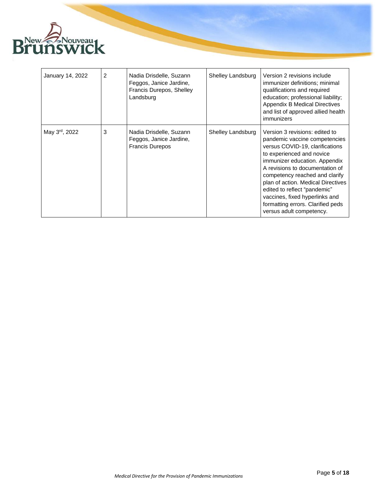

| January 14, 2022 | $\overline{c}$ | Nadia Drisdelle, Suzann<br>Feggos, Janice Jardine,<br>Francis Durepos, Shelley<br>Landsburg | Shelley Landsburg | Version 2 revisions include<br>immunizer definitions; minimal<br>qualifications and required<br>education; professional liability;<br>Appendix B Medical Directives<br>and list of approved allied health<br>immunizers                                                                                                                                                                                        |
|------------------|----------------|---------------------------------------------------------------------------------------------|-------------------|----------------------------------------------------------------------------------------------------------------------------------------------------------------------------------------------------------------------------------------------------------------------------------------------------------------------------------------------------------------------------------------------------------------|
| May 3rd, 2022    | 3              | Nadia Drisdelle, Suzann<br>Feggos, Janice Jardine,<br><b>Francis Durepos</b>                | Shelley Landsburg | Version 3 revisions: edited to<br>pandemic vaccine competencies<br>versus COVID-19, clarifications<br>to experienced and novice<br>immunizer education. Appendix<br>A revisions to documentation of<br>competency reached and clarify<br>plan of action. Medical Directives<br>edited to reflect "pandemic"<br>vaccines, fixed hyperlinks and<br>formatting errors. Clarified peds<br>versus adult competency. |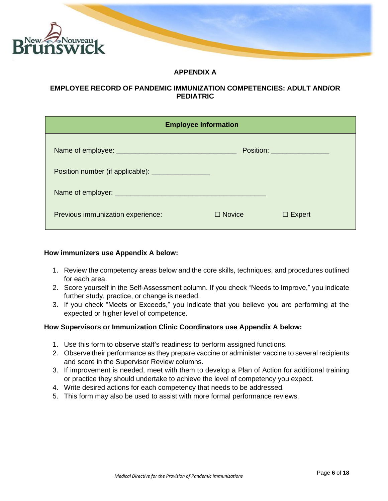

## **APPENDIX A**

#### **EMPLOYEE RECORD OF PANDEMIC IMMUNIZATION COMPETENCIES: ADULT AND/OR PEDIATRIC**

| <b>Employee Information</b>                       |               |                               |
|---------------------------------------------------|---------------|-------------------------------|
|                                                   |               | Position: ___________________ |
| Position number (if applicable): ________________ |               |                               |
|                                                   |               |                               |
| Previous immunization experience:                 | $\Box$ Novice | $\Box$ Expert                 |

#### **How immunizers use Appendix A below:**

- 1. Review the competency areas below and the core skills, techniques, and procedures outlined for each area.
- 2. Score yourself in the Self-Assessment column. If you check "Needs to Improve," you indicate further study, practice, or change is needed.
- 3. If you check "Meets or Exceeds," you indicate that you believe you are performing at the expected or higher level of competence.

#### **How Supervisors or Immunization Clinic Coordinators use Appendix A below:**

- 1. Use this form to observe staff's readiness to perform assigned functions.
- 2. Observe their performance as they prepare vaccine or administer vaccine to several recipients and score in the Supervisor Review columns.
- 3. If improvement is needed, meet with them to develop a Plan of Action for additional training or practice they should undertake to achieve the level of competency you expect.
- 4. Write desired actions for each competency that needs to be addressed.
- 5. This form may also be used to assist with more formal performance reviews.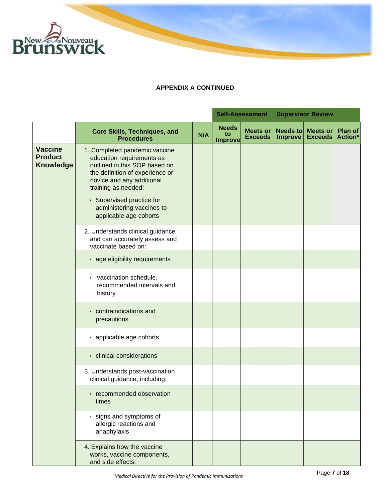

|                                                      |                                                                                                                                                                                                                                                                        |     |                                      | <b>Self-Assessment</b>            |                                   | <b>Supervisor Review</b>   |                    |
|------------------------------------------------------|------------------------------------------------------------------------------------------------------------------------------------------------------------------------------------------------------------------------------------------------------------------------|-----|--------------------------------------|-----------------------------------|-----------------------------------|----------------------------|--------------------|
|                                                      | <b>Core Skills, Techniques, and</b><br><b>Procedures</b>                                                                                                                                                                                                               | N/A | <b>Needs</b><br>to<br><b>Improve</b> | <b>Meets or</b><br><b>Exceeds</b> | <b>Needs to</b><br><b>Improve</b> | Meets or<br><b>Exceeds</b> | Plan of<br>Action* |
| <b>Vaccine</b><br><b>Product</b><br><b>Knowledge</b> | 1. Completed pandemic vaccine<br>education requirements as<br>outlined in this SOP based on<br>the definition of experience or<br>novice and any additional<br>training as needed:<br>• Supervised practice for<br>administering vaccines to<br>applicable age cohorts |     |                                      |                                   |                                   |                            |                    |
|                                                      | 2. Understands clinical guidance<br>and can accurately assess and<br>vaccinate based on:                                                                                                                                                                               |     |                                      |                                   |                                   |                            |                    |
|                                                      | · age eligibility requirements                                                                                                                                                                                                                                         |     |                                      |                                   |                                   |                            |                    |
|                                                      | vaccination schedule,<br>recommended intervals and<br>history                                                                                                                                                                                                          |     |                                      |                                   |                                   |                            |                    |
|                                                      | • contraindications and<br>precautions                                                                                                                                                                                                                                 |     |                                      |                                   |                                   |                            |                    |
|                                                      | · applicable age cohorts                                                                                                                                                                                                                                               |     |                                      |                                   |                                   |                            |                    |
|                                                      | · clinical considerations                                                                                                                                                                                                                                              |     |                                      |                                   |                                   |                            |                    |
|                                                      | 3. Understands post-vaccination<br>clinical guidance, including:                                                                                                                                                                                                       |     |                                      |                                   |                                   |                            |                    |
|                                                      | · recommended observation<br>times                                                                                                                                                                                                                                     |     |                                      |                                   |                                   |                            |                    |
|                                                      | · signs and symptoms of<br>allergic reactions and<br>anaphylaxis                                                                                                                                                                                                       |     |                                      |                                   |                                   |                            |                    |
|                                                      | 4. Explains how the vaccine<br>works, vaccine components,<br>and side effects.                                                                                                                                                                                         |     |                                      |                                   |                                   |                            |                    |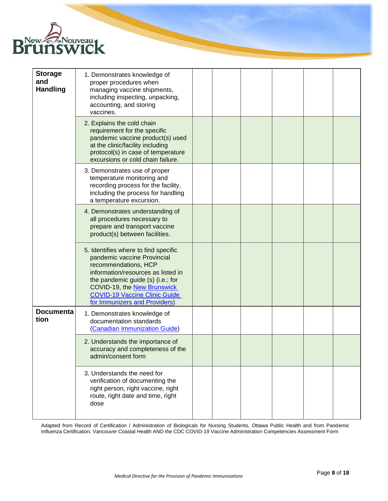

| <b>Storage</b><br>and<br><b>Handling</b> | 1. Demonstrates knowledge of<br>proper procedures when<br>managing vaccine shipments,<br>including inspecting, unpacking,<br>accounting, and storing<br>vaccines.                                                                                                              |  |  |  |
|------------------------------------------|--------------------------------------------------------------------------------------------------------------------------------------------------------------------------------------------------------------------------------------------------------------------------------|--|--|--|
|                                          | 2. Explains the cold chain<br>requirement for the specific<br>pandemic vaccine product(s) used<br>at the clinic/facility including<br>protocol(s) in case of temperature<br>excursions or cold chain failure.                                                                  |  |  |  |
|                                          | 3. Demonstrates use of proper<br>temperature monitoring and<br>recording process for the facility,<br>including the process for handling<br>a temperature excursion.                                                                                                           |  |  |  |
|                                          | 4. Demonstrates understanding of<br>all procedures necessary to<br>prepare and transport vaccine<br>product(s) between facilities.                                                                                                                                             |  |  |  |
|                                          | 5. Identifies where to find specific<br>pandemic vaccine Provincial<br>recommendations, HCP<br>information/resources as listed in<br>the pandemic guide (s) (i.e.; for<br>COVID-19, the New Brunswick<br><b>COVID-19 Vaccine Clinic Guide</b><br>for Immunizers and Providers) |  |  |  |
| <b>Documenta</b><br>tion                 | 1. Demonstrates knowledge of<br>documentation standards<br>(Canadian Immunization Guide)                                                                                                                                                                                       |  |  |  |
|                                          | 2. Understands the importance of<br>accuracy and completeness of the<br>admin/consent form                                                                                                                                                                                     |  |  |  |
|                                          | 3. Understands the need for<br>verification of documenting the<br>right person, right vaccine, right<br>route, right date and time, right<br>dose                                                                                                                              |  |  |  |

Adapted from Record of Certification / Administration of Biologicals for Nursing Students, Ottawa Public Health and from Pandemic Influenza Certification, Vancouver Coastal Health AND the CDC COVID-19 Vaccine Administration Competencies Assessment Form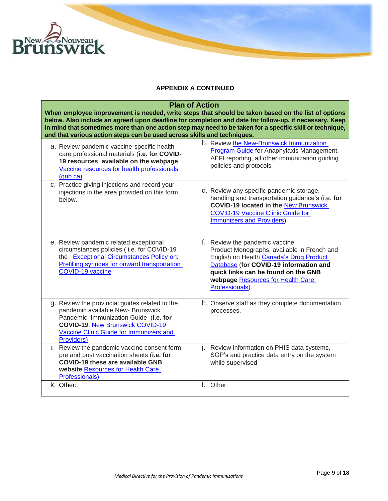

| and that various action steps can be used across skills and techniques.                                                                                                                                                          | <b>Plan of Action</b><br>When employee improvement is needed, write steps that should be taken based on the list of options<br>below. Also include an agreed upon deadline for completion and date for follow-up, if necessary. Keep<br>in mind that sometimes more than one action step may need to be taken for a specific skill or technique, |
|----------------------------------------------------------------------------------------------------------------------------------------------------------------------------------------------------------------------------------|--------------------------------------------------------------------------------------------------------------------------------------------------------------------------------------------------------------------------------------------------------------------------------------------------------------------------------------------------|
| a. Review pandemic vaccine-specific health<br>care professional materials (i.e. for COVID-<br>19 resources available on the webpage<br>Vaccine resources for health professionals<br>(anb.ca)                                    | b. Review the New-Brunswick Immunization<br>Program Guide for Anaphylaxis Management,<br>AEFI reporting, all other immunization guiding<br>policies and protocols                                                                                                                                                                                |
| c. Practice giving injections and record your<br>injections in the area provided on this form<br>below.                                                                                                                          | d. Review any specific pandemic storage,<br>handling and transportation guidance's (i.e. for<br><b>COVID-19 located in the New Brunswick</b><br><b>COVID-19 Vaccine Clinic Guide for</b><br><b>Immunizers and Providers)</b>                                                                                                                     |
| e. Review pandemic related exceptional<br>circumstances policies (i.e. for COVID-19<br>the Exceptional Circumstances Policy on:<br>Prefilling syringes for onward transportation<br>COVID-19 vaccine                             | f. Review the pandemic vaccine<br>Product Monographs, available in French and<br>English on Health Canada's Drug Product<br>Database (for COVID-19 information and<br>quick links can be found on the GNB<br>webpage Resources for Health Care<br>Professionals).                                                                                |
| g. Review the provincial guides related to the<br>pandemic available New- Brunswick<br>Pandemic Immunization Guide (i.e. for<br><b>COVID-19, New Brunswick COVID-19</b><br>Vaccine Clinic Guide for Immunizers and<br>Providers) | h. Observe staff as they complete documentation<br>processes.                                                                                                                                                                                                                                                                                    |
| i. Review the pandemic vaccine consent form,<br>pre and post vaccination sheets (i.e. for<br><b>COVID-19 these are available GNB</b><br>website Resources for Health Care<br><b>Professionals)</b>                               | Review information on PHIS data systems,<br>j.<br>SOP's and practice data entry on the system<br>while supervised                                                                                                                                                                                                                                |
| k. Other:                                                                                                                                                                                                                        | I. Other:                                                                                                                                                                                                                                                                                                                                        |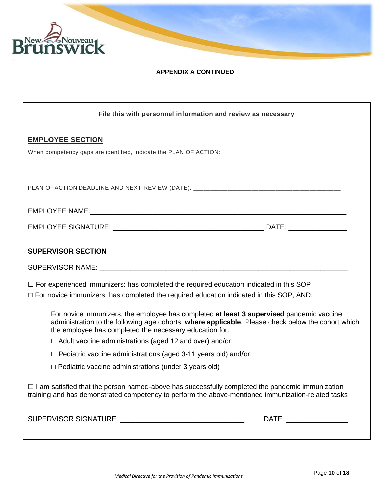

| File this with personnel information and review as necessary                                                                                                                                                                                              |                            |
|-----------------------------------------------------------------------------------------------------------------------------------------------------------------------------------------------------------------------------------------------------------|----------------------------|
| <b>EMPLOYEE SECTION</b><br>When competency gaps are identified, indicate the PLAN OF ACTION:                                                                                                                                                              |                            |
| PLAN OF ACTION DEADLINE AND NEXT REVIEW (DATE): _________________________________                                                                                                                                                                         |                            |
|                                                                                                                                                                                                                                                           |                            |
|                                                                                                                                                                                                                                                           |                            |
| <b>SUPERVISOR SECTION</b>                                                                                                                                                                                                                                 |                            |
|                                                                                                                                                                                                                                                           |                            |
| $\Box$ For experienced immunizers: has completed the required education indicated in this SOP<br>□ For novice immunizers: has completed the required education indicated in this SOP, AND:                                                                |                            |
| For novice immunizers, the employee has completed at least 3 supervised pandemic vaccine<br>administration to the following age cohorts, where applicable. Please check below the cohort which<br>the employee has completed the necessary education for. |                            |
| $\Box$ Adult vaccine administrations (aged 12 and over) and/or;                                                                                                                                                                                           |                            |
| $\Box$ Pediatric vaccine administrations (aged 3-11 years old) and/or;                                                                                                                                                                                    |                            |
| $\Box$ Pediatric vaccine administrations (under 3 years old)                                                                                                                                                                                              |                            |
| $\Box$ I am satisfied that the person named-above has successfully completed the pandemic immunization<br>training and has demonstrated competency to perform the above-mentioned immunization-related tasks                                              |                            |
|                                                                                                                                                                                                                                                           | DATE: ____________________ |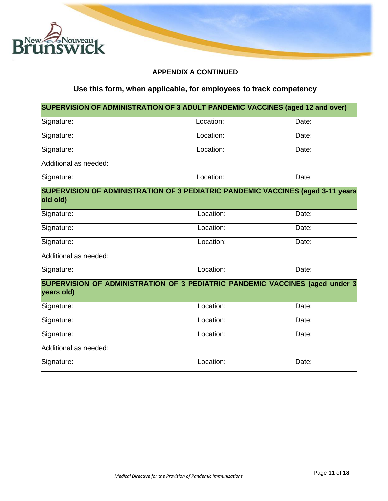

# **Use this form, when applicable, for employees to track competency**

|                       | SUPERVISION OF ADMINISTRATION OF 3 ADULT PANDEMIC VACCINES (aged 12 and over)   |       |
|-----------------------|---------------------------------------------------------------------------------|-------|
| Signature:            | Location:                                                                       | Date: |
| Signature:            | Location:                                                                       | Date: |
| Signature:            | Location:                                                                       | Date: |
| Additional as needed: |                                                                                 |       |
| Signature:            | Location:                                                                       | Date: |
| old old)              | SUPERVISION OF ADMINISTRATION OF 3 PEDIATRIC PANDEMIC VACCINES (aged 3-11 years |       |
| Signature:            | Location:                                                                       | Date: |
| Signature:            | Location:                                                                       | Date: |
| Signature:            | Location:                                                                       | Date: |
| Additional as needed: |                                                                                 |       |
| Signature:            | Location:                                                                       | Date: |
| years old)            | SUPERVISION OF ADMINISTRATION OF 3 PEDIATRIC PANDEMIC VACCINES (aged under 3    |       |
| Signature:            | Location:                                                                       | Date: |
| Signature:            | Location:                                                                       | Date: |
| Signature:            | Location:                                                                       | Date: |
| Additional as needed: |                                                                                 |       |
| Signature:            | Location:                                                                       | Date: |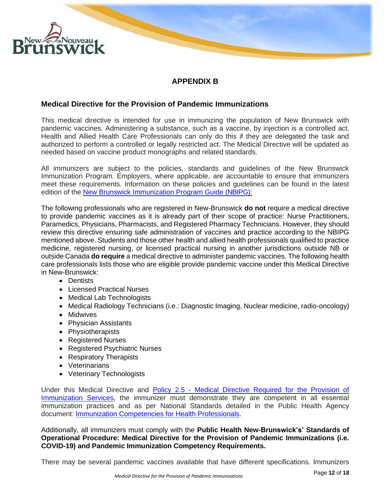

# **APPENDIX B**

## **Medical Directive for the Provision of Pandemic Immunizations**

This medical directive is intended for use in immunizing the population of New Brunswick with pandemic vaccines. Administering a substance, such as a vaccine, by injection is a controlled act. Health and Allied Health Care Professionals can only do this if they are delegated the task and authorized to perform a controlled or legally restricted act. The Medical Directive will be updated as needed based on vaccine product monographs and related standards.

All immunizers are subject to the policies, standards and guidelines of the New Brunswick Immunization Program. Employers, where applicable, are accountable to ensure that immunizers meet these requirements. Information on these policies and guidelines can be found in the latest edition of the New Brunswick [Immunization](https://www2.gnb.ca/content/gnb/en/departments/ocmoh/for_healthprofessionals/cdc/NBImmuni%20zationGuide.html) Program Guide (NBIPG):

The following professionals who are registered in New-Brunswick **do not** require a medical directive to provide pandemic vaccines as it is already part of their scope of practice: Nurse Practitioners, Paramedics, Physicians, Pharmacists, and Registered Pharmacy Technicians. However, they should review this directive ensuring safe administration of vaccines and practice according to the NBIPG mentioned above. Students and those other health and allied health professionals qualified to practice medicine, registered nursing, or licensed practical nursing in another jurisdictions outside NB or outside Canada **do require** a medical directive to administer pandemic vaccines. The following health care professionals lists those who are eligible provide pandemic vaccine under this Medical Directive in New-Brunswick:

- Dentists
- Licensed Practical Nurses
- Medical Lab Technologists
- Medical Radiology Technicians (i.e.: Diagnostic Imaging, Nuclear medicine, radio-oncology)
- Midwives
- Physician Assistants
- Physiotherapists
- Registered Nurses
- Registered Psychiatric Nurses
- Respiratory Therapists
- Veterinarians
- Veterinary Technologists

Under this Medical Directive and Policy 2.5 - [Medical Directive Required for the Provision of](https://www2.gnb.ca/content/dam/gnb/Departments/h-s/pdf/en/CDC/HealthProfessionals/NBIPG-policy2-5-e.pdf)  [Immunization Services,](https://www2.gnb.ca/content/dam/gnb/Departments/h-s/pdf/en/CDC/HealthProfessionals/NBIPG-policy2-5-e.pdf) the immunizer must demonstrate they are competent in all essential immunization practices and as per National Standards detailed in the Public Health Agency document: [Immunization Competencies for Health Professionals.](https://www.canada.ca/en/public-health/services/publications/healthy-living/immunization-competencies-health-professionals.html)

Additionally, all immunizers must comply with the **Public Health New-Brunswick's' Standards of Operational Procedure: Medical Directive for the Provision of Pandemic Immunizations (i.e. COVID-19) and Pandemic Immunization Competency Requirements.**

There may be several pandemic vaccines available that have different specifications. Immunizers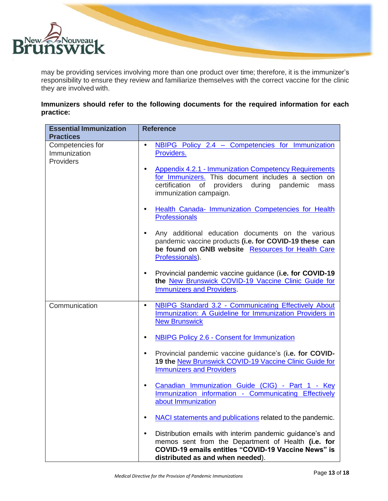

may be providing services involving more than one product over time; therefore, it is the immunizer's responsibility to ensure they review and familiarize themselves with the correct vaccine for the clinic they are involved with.

**Immunizers should refer to the following documents for the required information for each practice:**

| <b>Essential Immunization</b><br><b>Practices</b> | <b>Reference</b>                                                                                                                                                                                                                                                                                         |
|---------------------------------------------------|----------------------------------------------------------------------------------------------------------------------------------------------------------------------------------------------------------------------------------------------------------------------------------------------------------|
| Competencies for<br>Immunization<br>Providers     | NBIPG Policy 2.4 - Competencies for Immunization<br>$\bullet$<br>Providers.<br><b>Appendix 4.2.1 - Immunization Competency Requirements</b><br>$\bullet$<br>for Immunizers. This document includes a section on<br>certification<br>of<br>providers during<br>pandemic<br>mass<br>immunization campaign. |
|                                                   | Health Canada- Immunization Competencies for Health<br>$\bullet$<br><b>Professionals</b>                                                                                                                                                                                                                 |
|                                                   | Any additional education documents on the various<br>$\bullet$<br>pandemic vaccine products (i.e. for COVID-19 these can<br>be found on GNB website Resources for Health Care<br>Professionals).                                                                                                         |
|                                                   | Provincial pandemic vaccine guidance (i.e. for COVID-19<br>$\bullet$<br>the New Brunswick COVID-19 Vaccine Clinic Guide for<br><b>Immunizers and Providers.</b>                                                                                                                                          |
| Communication                                     | <b>NBIPG Standard 3.2 - Communicating Effectively About</b><br>$\bullet$<br>Immunization: A Guideline for Immunization Providers in<br><b>New Brunswick</b>                                                                                                                                              |
|                                                   | NBIPG Policy 2.6 - Consent for Immunization<br>$\bullet$                                                                                                                                                                                                                                                 |
|                                                   | Provincial pandemic vaccine guidance's (i.e. for COVID-<br>$\bullet$<br>19 the New Brunswick COVID-19 Vaccine Clinic Guide for<br><b>Immunizers and Providers</b>                                                                                                                                        |
|                                                   | Canadian Immunization Guide (CIG) - Part 1 - Key<br>$\bullet$<br>Immunization information - Communicating Effectively<br>about Immunization                                                                                                                                                              |
|                                                   | NACI statements and publications related to the pandemic.                                                                                                                                                                                                                                                |
|                                                   | Distribution emails with interim pandemic guidance's and<br>$\bullet$<br>memos sent from the Department of Health (i.e. for<br>COVID-19 emails entitles "COVID-19 Vaccine News" is<br>distributed as and when needed).                                                                                   |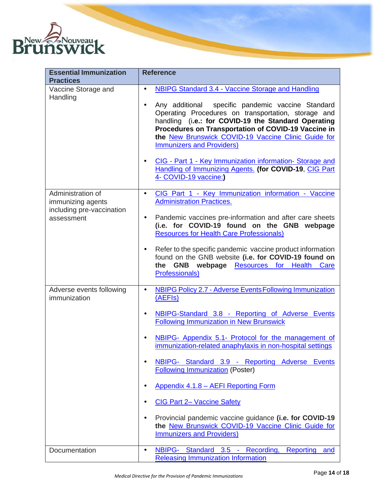

| <b>Essential Immunization</b><br><b>Practices</b>                                 | <b>Reference</b>                                                                                                                                                                                                                                                                                                                                                                                                                                                                                                                                                                                                                                                                     |
|-----------------------------------------------------------------------------------|--------------------------------------------------------------------------------------------------------------------------------------------------------------------------------------------------------------------------------------------------------------------------------------------------------------------------------------------------------------------------------------------------------------------------------------------------------------------------------------------------------------------------------------------------------------------------------------------------------------------------------------------------------------------------------------|
| Vaccine Storage and<br>Handling                                                   | <b>NBIPG Standard 3.4 - Vaccine Storage and Handling</b><br>$\bullet$<br>Any additional specific pandemic vaccine Standard<br>$\bullet$<br>Operating Procedures on transportation, storage and<br>handling (i.e.: for COVID-19 the Standard Operating<br>Procedures on Transportation of COVID-19 Vaccine in<br>the New Brunswick COVID-19 Vaccine Clinic Guide for<br><b>Immunizers and Providers)</b><br>CIG - Part 1 - Key Immunization information-Storage and<br>$\bullet$<br>Handling of Immunizing Agents. (for COVID-19, CIG Part<br>4- COVID-19 vaccine:)                                                                                                                   |
| Administration of<br>immunizing agents<br>including pre-vaccination<br>assessment | CIG Part 1 - Key Immunization information - Vaccine<br>$\bullet$<br><b>Administration Practices.</b><br>Pandemic vaccines pre-information and after care sheets<br>$\bullet$<br>(i.e. for COVID-19 found on the GNB webpage<br><b>Resources for Health Care Professionals)</b><br>Refer to the specific pandemic vaccine product information<br>$\bullet$<br>found on the GNB website (i.e. for COVID-19 found on<br>GNB webpage Resources for Health<br>the<br>Care<br><b>Professionals)</b>                                                                                                                                                                                        |
| Adverse events following<br>immunization                                          | <b>NBIPG Policy 2.7 - Adverse Events Following Immunization</b><br>$\bullet$<br>(AEFIs)<br>NBIPG-Standard 3.8 - Reporting of Adverse Events<br>$\bullet$<br><b>Following Immunization in New Brunswick</b><br>NBIPG- Appendix 5.1- Protocol for the management of<br>$\bullet$<br>immunization-related anaphylaxis in non-hospital settings<br>NBIPG- Standard 3.9 - Reporting Adverse Events<br><b>Following Immunization (Poster)</b><br>Appendix 4.1.8 - AEFI Reporting Form<br>٠<br><b>CIG Part 2- Vaccine Safety</b><br>Provincial pandemic vaccine guidance (i.e. for COVID-19<br>٠<br>the New Brunswick COVID-19 Vaccine Clinic Guide for<br><b>Immunizers and Providers)</b> |
| Documentation                                                                     | NBIPG- Standard 3.5 - Recording, Reporting<br>$\bullet$<br>and<br><b>Releasing Immunization Information</b>                                                                                                                                                                                                                                                                                                                                                                                                                                                                                                                                                                          |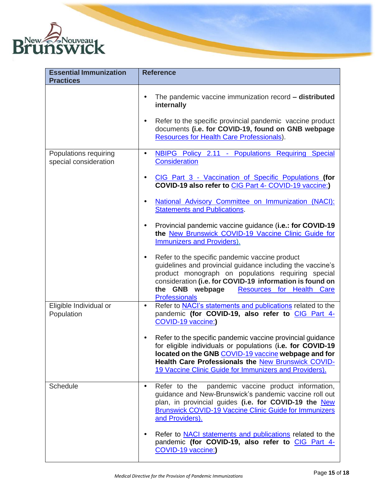

| <b>Essential Immunization</b><br><b>Practices</b> | <b>Reference</b>                                                                                                                                                                                                                                                                                                           |
|---------------------------------------------------|----------------------------------------------------------------------------------------------------------------------------------------------------------------------------------------------------------------------------------------------------------------------------------------------------------------------------|
|                                                   | The pandemic vaccine immunization record - distributed<br>$\bullet$<br>internally<br>Refer to the specific provincial pandemic vaccine product<br>$\bullet$<br>documents (i.e. for COVID-19, found on GNB webpage<br>Resources for Health Care Professionals).                                                             |
| Populations requiring<br>special consideration    | NBIPG Policy 2.11 - Populations Requiring Special<br>٠<br><b>Consideration</b><br>CIG Part 3 - Vaccination of Specific Populations (for<br>$\bullet$<br>COVID-19 also refer to CIG Part 4- COVID-19 vaccine:)<br>National Advisory Committee on Immunization (NACI):<br>$\bullet$<br><b>Statements and Publications.</b>   |
|                                                   | Provincial pandemic vaccine guidance (i.e.: for COVID-19<br>$\bullet$<br>the New Brunswick COVID-19 Vaccine Clinic Guide for<br><b>Immunizers and Providers).</b>                                                                                                                                                          |
|                                                   | Refer to the specific pandemic vaccine product<br>$\bullet$<br>guidelines and provincial guidance including the vaccine's<br>product monograph on populations requiring special<br>consideration (i.e. for COVID-19 information is found on<br>the GNB webpage<br><b>Resources for Health Care</b><br><b>Professionals</b> |
| Eligible Individual or<br>Population              | Refer to <b>NACI's statements and publications</b> related to the<br>$\bullet$<br>pandemic (for COVID-19, also refer to CIG Part 4-<br>COVID-19 vaccine:)                                                                                                                                                                  |
|                                                   | Refer to the specific pandemic vaccine provincial guidance<br>$\bullet$<br>for eligible individuals or populations (i.e. for COVID-19<br>located on the GNB COVID-19 vaccine webpage and for<br>Health Care Professionals the New Brunswick COVID-<br>19 Vaccine Clinic Guide for Immunizers and Providers).               |
| Schedule                                          | pandemic vaccine product information,<br>Refer to the<br>$\bullet$<br>guidance and New-Brunswick's pandemic vaccine roll out<br>plan, in provincial guides (i.e. for COVID-19 the New<br><b>Brunswick COVID-19 Vaccine Clinic Guide for Immunizers</b><br>and Providers).                                                  |
|                                                   | Refer to <b>NACI</b> statements and publications related to the<br>٠<br>pandemic (for COVID-19, also refer to CIG Part 4-<br>COVID-19 vaccine:)                                                                                                                                                                            |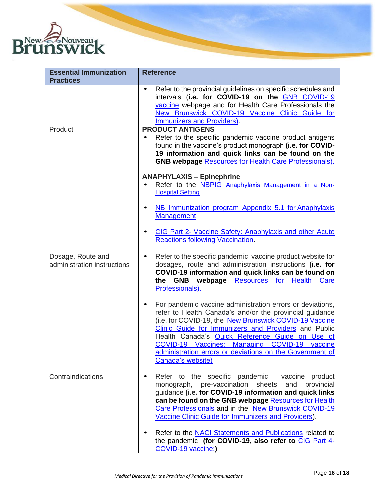

| <b>Essential Immunization</b>                    | <b>Reference</b>                                                                                                                                                                                                                                                                                                                                                                                                                        |
|--------------------------------------------------|-----------------------------------------------------------------------------------------------------------------------------------------------------------------------------------------------------------------------------------------------------------------------------------------------------------------------------------------------------------------------------------------------------------------------------------------|
| <b>Practices</b>                                 |                                                                                                                                                                                                                                                                                                                                                                                                                                         |
|                                                  | Refer to the provincial guidelines on specific schedules and<br>$\bullet$<br>intervals (i.e. for COVID-19 on the GNB COVID-19<br>vaccine webpage and for Health Care Professionals the<br>New Brunswick COVID-19 Vaccine Clinic Guide for<br>Immunizers and Providers).                                                                                                                                                                 |
| Product                                          | <b>PRODUCT ANTIGENS</b><br>Refer to the specific pandemic vaccine product antigens<br>found in the vaccine's product monograph (i.e. for COVID-<br>19 information and quick links can be found on the<br><b>GNB webpage Resources for Health Care Professionals).</b>                                                                                                                                                                   |
|                                                  | <b>ANAPHYLAXIS - Epinephrine</b><br>Refer to the <b>NBPIG</b> Anaphylaxis Management in a Non-<br><b>Hospital Setting</b>                                                                                                                                                                                                                                                                                                               |
|                                                  | NB Immunization program Appendix 5.1 for Anaphylaxis<br>$\bullet$<br><b>Management</b>                                                                                                                                                                                                                                                                                                                                                  |
|                                                  | CIG Part 2- Vaccine Safety: Anaphylaxis and other Acute<br>$\bullet$<br><b>Reactions following Vaccination</b>                                                                                                                                                                                                                                                                                                                          |
| Dosage, Route and<br>administration instructions | Refer to the specific pandemic vaccine product website for<br>$\bullet$<br>dosages, route and administration instructions (i.e. for<br>COVID-19 information and quick links can be found on<br>the GNB webpage Resources for<br>Health<br>Care<br>Professionals).                                                                                                                                                                       |
|                                                  | For pandemic vaccine administration errors or deviations,<br>$\bullet$<br>refer to Health Canada's and/or the provincial guidance<br>(i.e. for COVID-19, the New Brunswick COVID-19 Vaccine<br>Clinic Guide for Immunizers and Providers and Public<br>Health Canada's Quick Reference Guide on Use of<br>COVID-19 Vaccines: Managing COVID-19 vaccine<br>administration errors or deviations on the Government of<br>Canada's website) |
| Contraindications                                | Refer to the specific pandemic<br>vaccine<br>product<br>$\bullet$<br>pre-vaccination<br>sheets<br>provincial<br>monograph,<br>and<br>guidance (i.e. for COVID-19 information and quick links<br>can be found on the GNB webpage Resources for Health<br>Care Professionals and in the New Brunswick COVID-19<br>Vaccine Clinic Guide for Immunizers and Providers).                                                                     |
|                                                  | Refer to the <b>NACI</b> Statements and Publications related to<br>the pandemic (for COVID-19, also refer to CIG Part 4-<br>COVID-19 vaccine:)                                                                                                                                                                                                                                                                                          |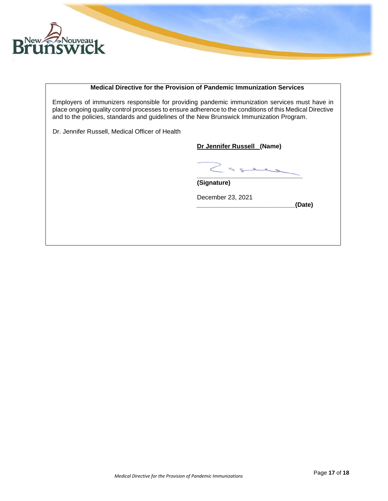

#### **Medical Directive for the Provision of Pandemic Immunization Services**

Employers of immunizers responsible for providing pandemic immunization services must have in place ongoing quality control processes to ensure adherence to the conditions of this Medical Directive and to the policies, standards and guidelines of the New Brunswick Immunization Program.

Dr. Jennifer Russell, Medical Officer of Health

**Dr Jennifer Russell (Name)**

**\_\_\_\_\_\_\_\_\_\_\_\_\_\_\_\_\_\_\_\_\_\_\_\_\_\_\_\_\_\_**

**\_\_\_\_\_\_\_\_\_\_\_\_\_\_\_\_\_\_\_\_\_\_\_\_\_\_\_\_(Date)**

**(Signature)**

December 23, 2021